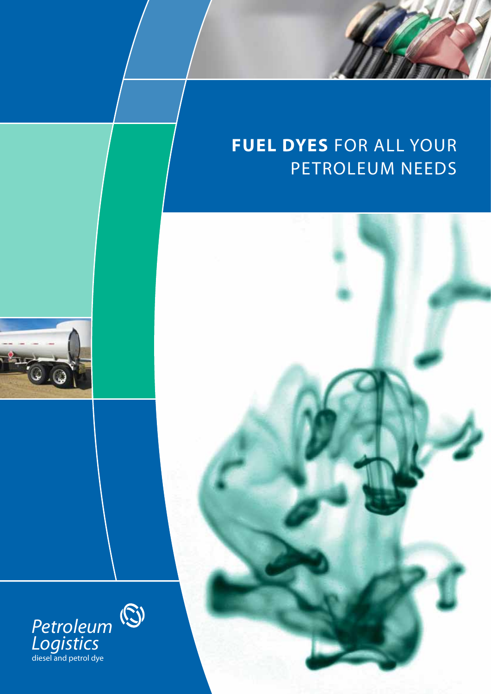# **fuel dyes** for all your peTroleum needs





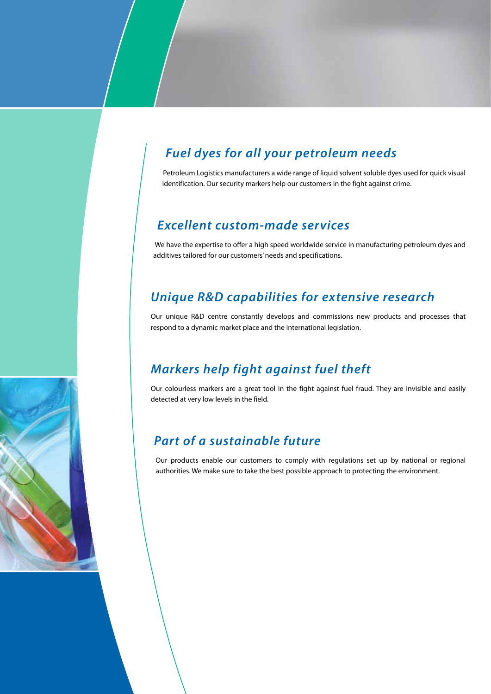# *Fuel dyes for all your petroleum needs*

Petroleum Logistics manufacturers a wide range of liquid solvent soluble dyes used for quick visual identification. Our security markers help our customers in the fight against crime.

#### *Excellent custom-made services*

We have the expertise to offer a high speed worldwide service in manufacturing petroleum dyes and additives tailored for our customers' needs and specifications.

#### *Unique R&D capabilities for extensive research*

Our unique R&D centre constantly develops and commissions new products and processes that respond to a dynamic market place and the international legislation.

#### *Markers help fight against fuel theft*

Our colourless markers are a great tool in the fight against fuel fraud. They are invisible and easily detected at very low levels in the field.

#### *Part of a sustainable future*

Our products enable our customers to comply with regulations set up by national or regional authorities. We make sure to take the best possible approach to protecting the environment.

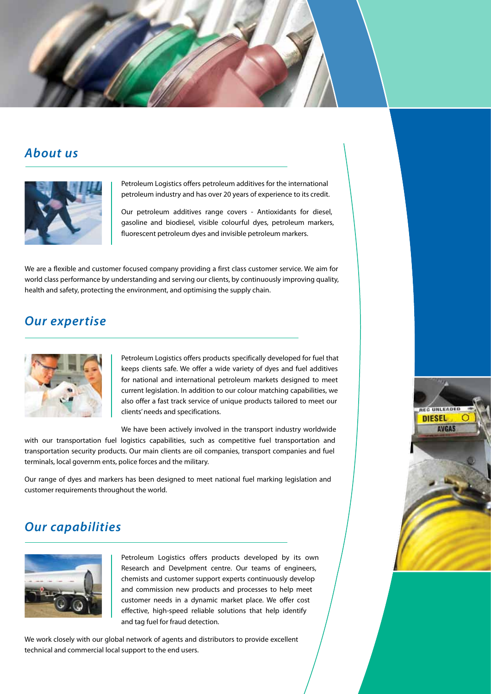



Petroleum Logistics offers petroleum additives for the international petroleum industry and has over 20 years of experience to its credit.

Our petroleum additives range covers - Antioxidants for diesel, gasoline and biodiesel, visible colourful dyes, petroleum markers, fluorescent petroleum dyes and invisible petroleum markers.

We are a flexible and customer focused company providing a first class customer service. We aim for world class performance by understanding and serving our clients, by continuously improving quality, health and safety, protecting the environment, and optimising the supply chain.

#### *Our expertise*



Petroleum Logistics offers products specifically developed for fuel that keeps clients safe. We offer a wide variety of dyes and fuel additives for national and international petroleum markets designed to meet current legislation. In addition to our colour matching capabilities, we also offer a fast track service of unique products tailored to meet our clients' needs and specifications.

**REG UNLEAD DIESEL AVGAS** 

We have been actively involved in the transport industry worldwide with our transportation fuel logistics capabilities, such as competitive fuel transportation and transportation security products. Our main clients are oil companies, transport companies and fuel terminals, local governm ents, police forces and the military.

Our range of dyes and markers has been designed to meet national fuel marking legislation and customer requirements throughout the world.

#### *Our capabilities*



Petroleum Logistics offers products developed by its own Research and Develpment centre. Our teams of engineers, chemists and customer support experts continuously develop and commission new products and processes to help meet customer needs in a dynamic market place. We offer cost effective, high-speed reliable solutions that help identify and tag fuel for fraud detection.

We work closely with our global network of agents and distributors to provide excellent technical and commercial local support to the end users.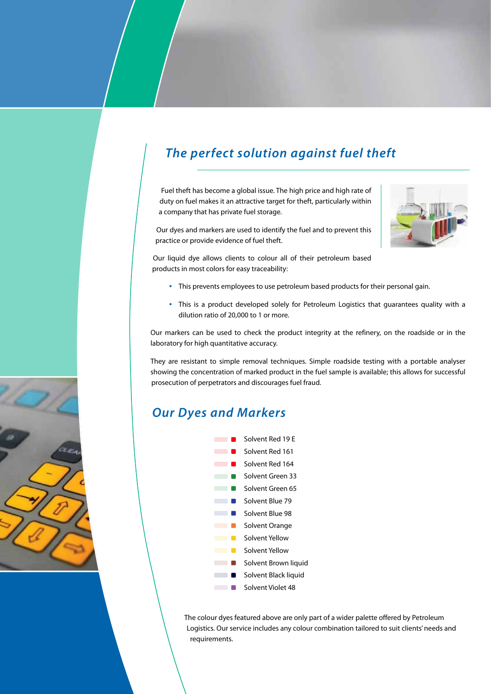# *The perfect solution against fuel theft*

Fuel theft has become a global issue. The high price and high rate of duty on fuel makes it an attractive target for theft, particularly within a company that has private fuel storage.

Our dyes and markers are used to identify the fuel and to prevent this practice or provide evidence of fuel theft.

Our liquid dye allows clients to colour all of their petroleum based products in most colors for easy traceability:

- This prevents employees to use petroleum based products for their personal gain.
- • This is a product developed solely for Petroleum Logistics that guarantees quality with a dilution ratio of 20,000 to 1 or more.

Our markers can be used to check the product integrity at the refinery, on the roadside or in the laboratory for high quantitative accuracy.

They are resistant to simple removal techniques. Simple roadside testing with a portable analyser showing the concentration of marked product in the fuel sample is available; this allows for successful prosecution of perpetrators and discourages fuel fraud.

#### *Our Dyes and Markers*



The colour dyes featured above are only part of a wider palette offered by Petroleum Logistics. Our service includes any colour combination tailored to suit clients' needs and requirements.



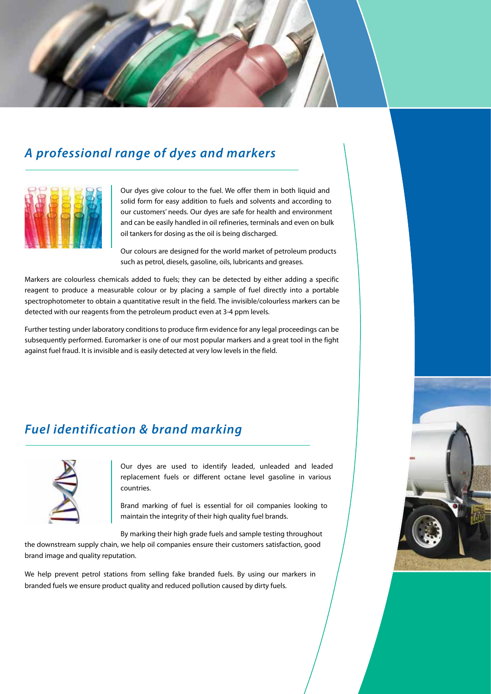

# *A professional range of dyes and markers*



Our dyes give colour to the fuel. We offer them in both liquid and solid form for easy addition to fuels and solvents and according to our customers' needs. Our dyes are safe for health and environment and can be easily handled in oil refineries, terminals and even on bulk oil tankers for dosing as the oil is being discharged.

Our colours are designed for the world market of petroleum products such as petrol, diesels, gasoline, oils, lubricants and greases.

Markers are colourless chemicals added to fuels; they can be detected by either adding a specific reagent to produce a measurable colour or by placing a sample of fuel directly into a portable spectrophotometer to obtain a quantitative result in the field. The invisible/colourless markers can be detected with our reagents from the petroleum product even at 3-4 ppm levels.

Further testing under laboratory conditions to produce firm evidence for any legal proceedings can be subsequently performed. Euromarker is one of our most popular markers and a great tool in the fight against fuel fraud. It is invisible and is easily detected at very low levels in the field.

### *Fuel identification & brand marking*



Our dyes are used to identify leaded, unleaded and leaded replacement fuels or different octane level gasoline in various countries.

Brand marking of fuel is essential for oil companies looking to maintain the integrity of their high quality fuel brands.

By marking their high grade fuels and sample testing throughout

the downstream supply chain, we help oil companies ensure their customers satisfaction, good brand image and quality reputation.

We help prevent petrol stations from selling fake branded fuels. By using our markers in branded fuels we ensure product quality and reduced pollution caused by dirty fuels.

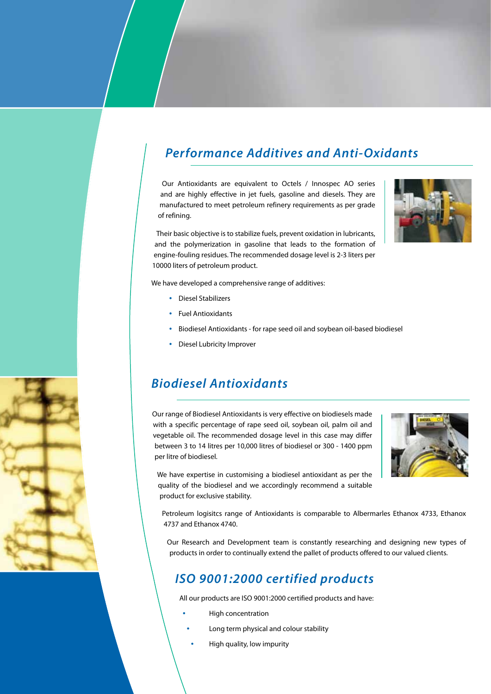# *Performance Additives and Anti-Oxidants*

Our Antioxidants are equivalent to Octels / Innospec AO series and are highly effective in jet fuels, gasoline and diesels. They are manufactured to meet petroleum refinery requirements as per grade of refining.

Their basic objective is to stabilize fuels, prevent oxidation in lubricants, and the polymerization in gasoline that leads to the formation of engine-fouling residues. The recommended dosage level is 2-3 liters per 10000 liters of petroleum product.

We have developed a comprehensive range of additives:

- • Diesel Stabilizers
- • Fuel Antioxidants
- • Biodiesel Antioxidants for rape seed oil and soybean oil-based biodiesel
- • Diesel Lubricity Improver

#### *Biodiesel Antioxidants*

Our range of Biodiesel Antioxidants is very effective on biodiesels made with a specific percentage of rape seed oil, soybean oil, palm oil and vegetable oil. The recommended dosage level in this case may differ between 3 to 14 litres per 10,000 litres of biodiesel or 300 - 1400 ppm per litre of biodiesel.



We have expertise in customising a biodiesel antioxidant as per the quality of the biodiesel and we accordingly recommend a suitable product for exclusive stability.

Petroleum logisitcs range of Antioxidants is comparable to Albermarles Ethanox 4733, Ethanox 4737 and Ethanox 4740.

Our Research and Development team is constantly researching and designing new types of products in order to continually extend the pallet of products offered to our valued clients.

#### *ISO 9001:2000 certified products*

All our products are ISO 9001:2000 certified products and have:

- **High concentration** 
	- Long term physical and colour stability
	- High quality, low impurity

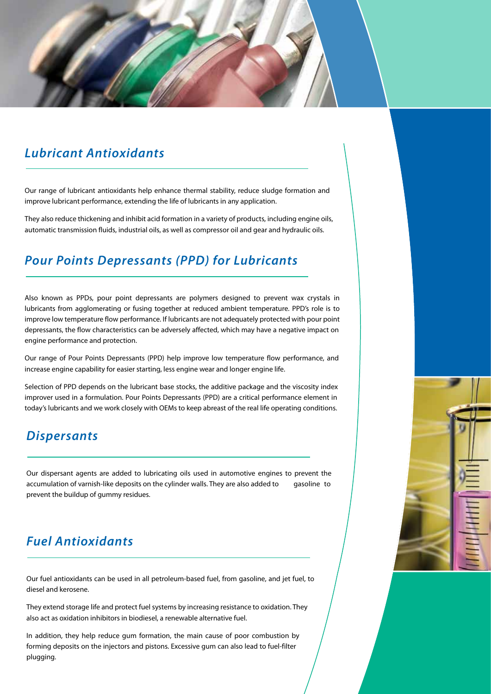#### *Lubricant Antioxidants*

Our range of lubricant antioxidants help enhance thermal stability, reduce sludge formation and improve lubricant performance, extending the life of lubricants in any application.

They also reduce thickening and inhibit acid formation in a variety of products, including engine oils, automatic transmission fluids, industrial oils, as well as compressor oil and gear and hydraulic oils.

#### *Pour Points Depressants (PPD) for Lubricants*

Also known as PPDs, pour point depressants are polymers designed to prevent wax crystals in lubricants from agglomerating or fusing together at reduced ambient temperature. PPD's role is to improve low temperature flow performance. If lubricants are not adequately protected with pour point depressants, the flow characteristics can be adversely affected, which may have a negative impact on engine performance and protection.

Our range of Pour Points Depressants (PPD) help improve low temperature flow performance, and increase engine capability for easier starting, less engine wear and longer engine life.

Selection of PPD depends on the lubricant base stocks, the additive package and the viscosity index improver used in a formulation. Pour Points Depressants (PPD) are a critical performance element in today's lubricants and we work closely with OEMs to keep abreast of the real life operating conditions.

#### *Dispersants*

Our dispersant agents are added to lubricating oils used in automotive engines to prevent the accumulation of varnish-like deposits on the cylinder walls. They are also added to gasoline to prevent the buildup of gummy residues.

### *Fuel Antioxidants*

Our fuel antioxidants can be used in all petroleum-based fuel, from gasoline, and jet fuel, to diesel and kerosene.

They extend storage life and protect fuel systems by increasing resistance to oxidation. They also act as oxidation inhibitors in biodiesel, a renewable alternative fuel.

In addition, they help reduce gum formation, the main cause of poor combustion by forming deposits on the injectors and pistons. Excessive gum can also lead to fuel-filter plugging.

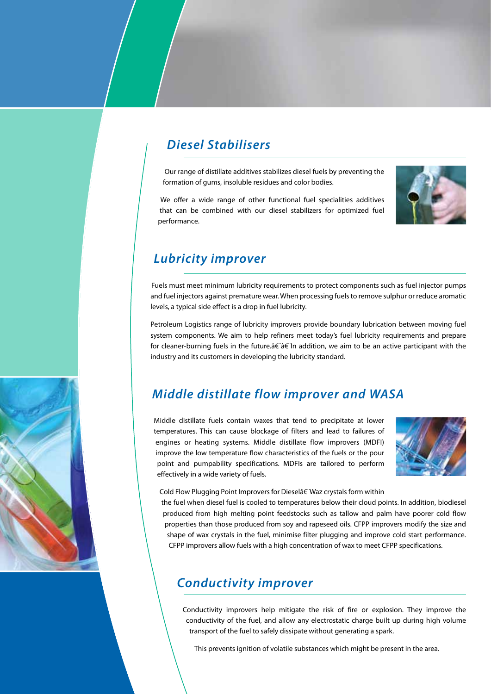#### *Diesel Stabilisers*

Our range of distillate additives stabilizes diesel fuels by preventing the formation of gums, insoluble residues and color bodies.

We offer a wide range of other functional fuel specialities additives that can be combined with our diesel stabilizers for optimized fuel performance.



### *Lubricity improver*

Fuels must meet minimum lubricity requirements to protect components such as fuel injector pumps and fuel injectors against premature wear. When processing fuels to remove sulphur or reduce aromatic levels, a typical side effect is a drop in fuel lubricity.

Petroleum Logistics range of lubricity improvers provide boundary lubrication between moving fuel system components. We aim to help refiners meet today's fuel lubricity requirements and prepare for cleaner-burning fuels in the future.†a film addition, we aim to be an active participant with the industry and its customers in developing the lubricity standard.

### *Middle distillate flow improver and WASA*

Middle distillate fuels contain waxes that tend to precipitate at lower temperatures. This can cause blockage of filters and lead to failures of engines or heating systems. Middle distillate flow improvers (MDFI) improve the low temperature flow characteristics of the fuels or the pour point and pumpability specifications. MDFIs are tailored to perform effectively in a wide variety of fuels.



Cold Flow Plugging Point Improvers for Diesel†Waz crystals form within

the fuel when diesel fuel is cooled to temperatures below their cloud points. In addition, biodiesel produced from high melting point feedstocks such as tallow and palm have poorer cold flow properties than those produced from soy and rapeseed oils. CFPP improvers modify the size and shape of wax crystals in the fuel, minimise filter plugging and improve cold start performance. CFPP improvers allow fuels with a high concentration of wax to meet CFPP specifications.

#### *Conductivity improver*

Conductivity improvers help mitigate the risk of fire or explosion. They improve the conductivity of the fuel, and allow any electrostatic charge built up during high volume transport of the fuel to safely dissipate without generating a spark.

This prevents ignition of volatile substances which might be present in the area.

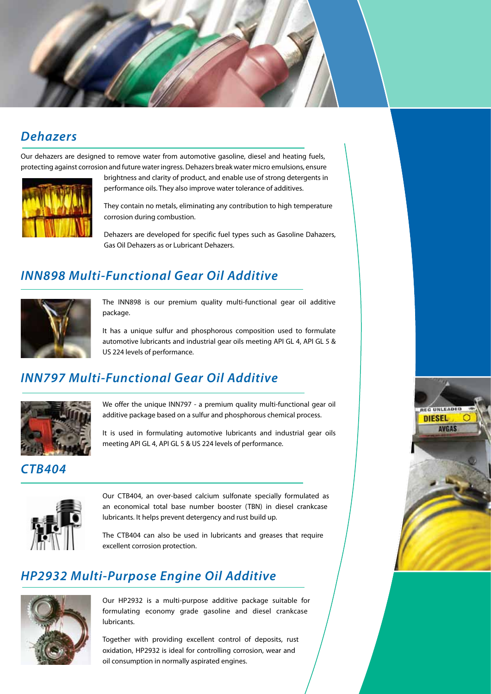

#### *Dehazers*

Our dehazers are designed to remove water from automotive gasoline, diesel and heating fuels, protecting against corrosion and future water ingress. Dehazers break water micro emulsions, ensure



brightness and clarity of product, and enable use of strong detergents in performance oils. They also improve water tolerance of additives.

They contain no metals, eliminating any contribution to high temperature corrosion during combustion.

Dehazers are developed for specific fuel types such as Gasoline Dahazers, Gas Oil Dehazers as or Lubricant Dehazers.

# *INN898 Multi-Functional Gear Oil Additive*



The INN898 is our premium quality multi-functional gear oil additive package.

It has a unique sulfur and phosphorous composition used to formulate automotive lubricants and industrial gear oils meeting API GL 4, API GL 5 & US 224 levels of performance.

### *INN797 Multi-Functional Gear Oil Additive*



We offer the unique INN797 - a premium quality multi-functional gear oil additive package based on a sulfur and phosphorous chemical process.

It is used in formulating automotive lubricants and industrial gear oils meeting API GL 4, API GL 5 & US 224 levels of performance.

#### *CTB404*



Our CTB404, an over-based calcium sulfonate specially formulated as an economical total base number booster (TBN) in diesel crankcase lubricants. It helps prevent detergency and rust build up.

The CTB404 can also be used in lubricants and greases that require excellent corrosion protection.

## *HP2932 Multi-Purpose Engine Oil Additive*



Our HP2932 is a multi-purpose additive package suitable for formulating economy grade gasoline and diesel crankcase lubricants.

Together with providing excellent control of deposits, rust oxidation, HP2932 is ideal for controlling corrosion, wear and oil consumption in normally aspirated engines.

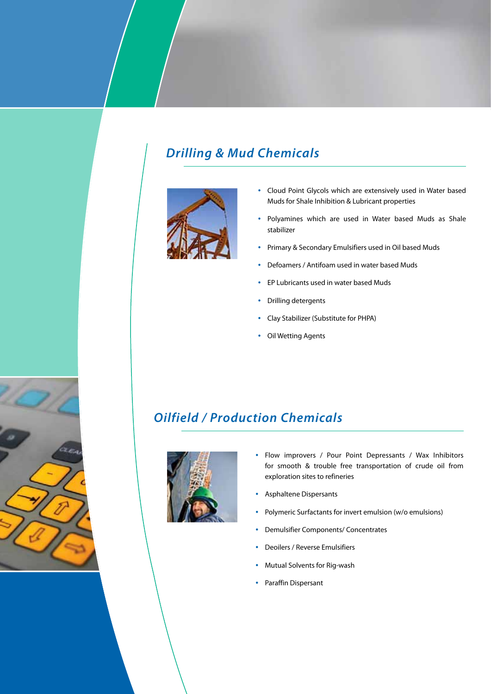# *Drilling & Mud Chemicals*



- • Cloud Point Glycols which are extensively used in Water based Muds for Shale Inhibition & Lubricant properties
- • Polyamines which are used in Water based Muds as Shale stabilizer
- • Primary & Secondary Emulsifiers used in Oil based Muds
- • Defoamers / Antifoam used in water based Muds
- • EP Lubricants used in water based Muds
- • Drilling detergents
- • Clay Stabilizer (Substitute for PHPA)
- • Oil Wetting Agents

#### *Oilfield / Production Chemicals*



- Flow improvers / Pour Point Depressants / Wax Inhibitors for smooth & trouble free transportation of crude oil from exploration sites to refineries
- • Asphaltene Dispersants
- • Polymeric Surfactants for invert emulsion (w/o emulsions)
- **Demulsifier Components/ Concentrates**
- Deoilers / Reverse Emulsifiers
- Mutual Solvents for Rig-wash
- • Paraffin Dispersant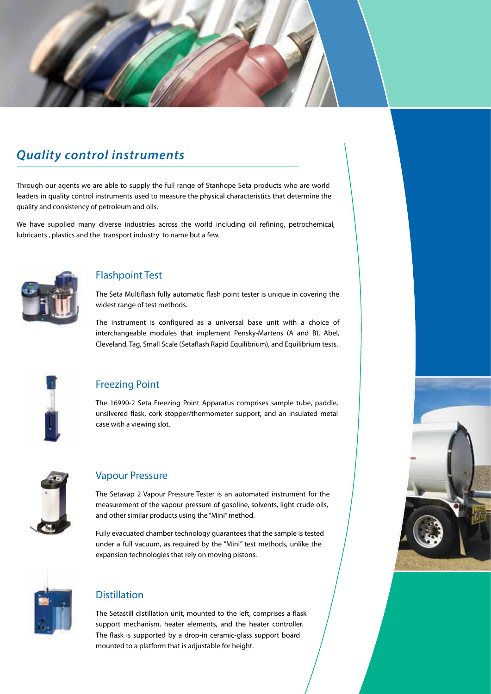# *Quality control instruments*

Through our agents we are able to supply the full range of Stanhope Seta products who are world leaders in quality control instruments used to measure the physical characteristics that determine the quality and consistency of petroleum and oils.

We have supplied many diverse industries across the world including oil refining, petrochemical, lubricants , plastics and the transport industry to name but a few.



#### Flashpoint Test

The Seta Multiflash fully automatic flash point tester is unique in covering the widest range of test methods.

The instrument is configured as a universal base unit with a choice of interchangeable modules that implement Pensky-Martens (A and B), Abel, Cleveland, Tag, Small Scale (Setaflash Rapid Equilibrium), and Equilibrium tests.



#### Freezing Point

The 16990-2 Seta Freezing Point Apparatus comprises sample tube, paddle, unsilvered flask, cork stopper/thermometer support, and an insulated metal case with a viewing slot.



#### Vapour Pressure

The Setavap 2 Vapour Pressure Tester is an automated instrument for the measurement of the vapour pressure of gasoline, solvents, light crude oils, and other similar products using the "Mini" method.

Fully evacuated chamber technology guarantees that the sample is tested under a full vacuum, as required by the "Mini" test methods, unlike the expansion technologies that rely on moving pistons.



#### **Distillation**

The Setastill distillation unit, mounted to the left, comprises a flask support mechanism, heater elements, and the heater controller. The flask is supported by a drop-in ceramic-glass support board mounted to a platform that is adjustable for height.